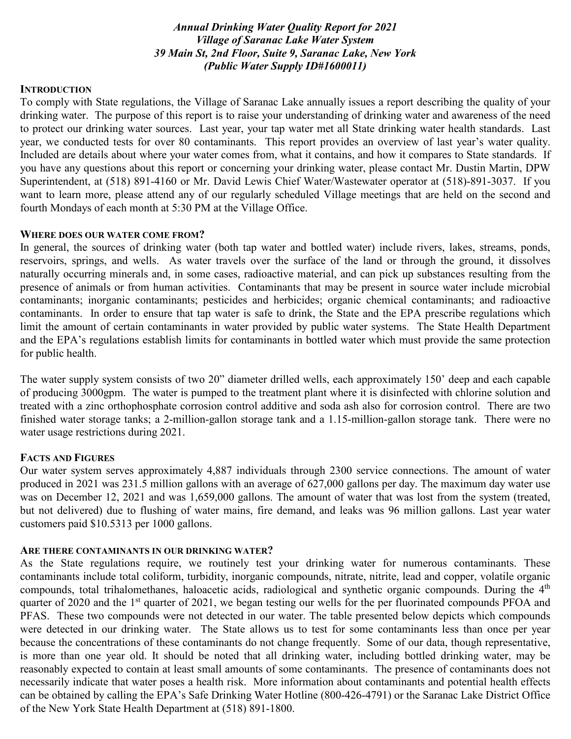*Annual Drinking Water Quality Report for 2021 Village of Saranac Lake Water System 39 Main St, 2nd Floor, Suite 9, Saranac Lake, New York (Public Water Supply ID#1600011)*

### **INTRODUCTION**

To comply with State regulations, the Village of Saranac Lake annually issues a report describing the quality of your drinking water. The purpose of this report is to raise your understanding of drinking water and awareness of the need to protect our drinking water sources. Last year, your tap water met all State drinking water health standards. Last year, we conducted tests for over 80 contaminants. This report provides an overview of last year's water quality. Included are details about where your water comes from, what it contains, and how it compares to State standards. If you have any questions about this report or concerning your drinking water, please contact Mr. Dustin Martin, DPW Superintendent, at (518) 891-4160 or Mr. David Lewis Chief Water/Wastewater operator at (518)-891-3037. If you want to learn more, please attend any of our regularly scheduled Village meetings that are held on the second and fourth Mondays of each month at 5:30 PM at the Village Office.

### **WHERE DOES OUR WATER COME FROM?**

In general, the sources of drinking water (both tap water and bottled water) include rivers, lakes, streams, ponds, reservoirs, springs, and wells. As water travels over the surface of the land or through the ground, it dissolves naturally occurring minerals and, in some cases, radioactive material, and can pick up substances resulting from the presence of animals or from human activities. Contaminants that may be present in source water include microbial contaminants; inorganic contaminants; pesticides and herbicides; organic chemical contaminants; and radioactive contaminants. In order to ensure that tap water is safe to drink, the State and the EPA prescribe regulations which limit the amount of certain contaminants in water provided by public water systems. The State Health Department and the EPA's regulations establish limits for contaminants in bottled water which must provide the same protection for public health.

The water supply system consists of two 20" diameter drilled wells, each approximately 150' deep and each capable of producing 3000gpm. The water is pumped to the treatment plant where it is disinfected with chlorine solution and treated with a zinc orthophosphate corrosion control additive and soda ash also for corrosion control. There are two finished water storage tanks; a 2-million-gallon storage tank and a 1.15-million-gallon storage tank. There were no water usage restrictions during 2021.

### **FACTS AND FIGURES**

Our water system serves approximately 4,887 individuals through 2300 service connections. The amount of water produced in 2021 was 231.5 million gallons with an average of 627,000 gallons per day. The maximum day water use was on December 12, 2021 and was 1,659,000 gallons. The amount of water that was lost from the system (treated, but not delivered) due to flushing of water mains, fire demand, and leaks was 96 million gallons. Last year water customers paid \$10.5313 per 1000 gallons.

#### **ARE THERE CONTAMINANTS IN OUR DRINKING WATER?**

As the State regulations require, we routinely test your drinking water for numerous contaminants. These contaminants include total coliform, turbidity, inorganic compounds, nitrate, nitrite, lead and copper, volatile organic compounds, total trihalomethanes, haloacetic acids, radiological and synthetic organic compounds. During the 4<sup>th</sup> quarter of 2020 and the 1<sup>st</sup> quarter of 2021, we began testing our wells for the per fluorinated compounds PFOA and PFAS. These two compounds were not detected in our water. The table presented below depicts which compounds were detected in our drinking water. The State allows us to test for some contaminants less than once per year because the concentrations of these contaminants do not change frequently. Some of our data, though representative, is more than one year old. It should be noted that all drinking water, including bottled drinking water, may be reasonably expected to contain at least small amounts of some contaminants. The presence of contaminants does not necessarily indicate that water poses a health risk. More information about contaminants and potential health effects can be obtained by calling the EPA's Safe Drinking Water Hotline (800-426-4791) or the Saranac Lake District Office of the New York State Health Department at (518) 891-1800.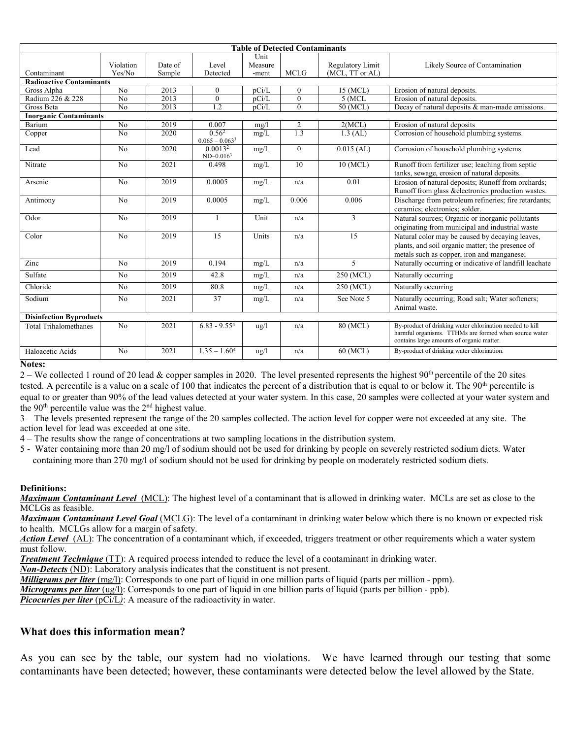| <b>Table of Detected Contaminants</b> |                 |         |                                       |                 |                |                                     |                                                                                                                                                                |
|---------------------------------------|-----------------|---------|---------------------------------------|-----------------|----------------|-------------------------------------|----------------------------------------------------------------------------------------------------------------------------------------------------------------|
|                                       | Violation       | Date of | Level                                 | Unit<br>Measure |                |                                     |                                                                                                                                                                |
| Contaminant                           | Yes/No          | Sample  | Detected                              | -ment           | <b>MCLG</b>    | Regulatory Limit<br>(MCL, TT or AL) | Likely Source of Contamination                                                                                                                                 |
| <b>Radioactive Contaminants</b>       |                 |         |                                       |                 |                |                                     |                                                                                                                                                                |
| Gross Alpha                           | N <sub>o</sub>  | 2013    | $\theta$                              | pCi/L           | $\theta$       | 15 (MCL)                            | Erosion of natural deposits.                                                                                                                                   |
| Radium 226 & 228                      | N <sub>o</sub>  | 2013    | $\mathbf{0}$                          | pCi/L           | $\theta$       | $5$ (MCL                            | Erosion of natural deposits.                                                                                                                                   |
| Gross Beta                            | $\overline{No}$ | 2013    | 1.2                                   | pCi/L           | $\theta$       | 50 (MCL)                            | Decay of natural deposits & man-made emissions.                                                                                                                |
| <b>Inorganic Contaminants</b>         |                 |         |                                       |                 |                |                                     |                                                                                                                                                                |
| Barium                                | No              | 2019    | 0.007                                 | mg/l            | $\overline{2}$ | 2(MCL)                              | Erosion of natural deposits                                                                                                                                    |
| Copper                                | $\overline{No}$ | 2020    | 0.56 <sup>2</sup><br>$0.065 - 0.0633$ | mg/L            | 1.3            | $1.3$ (AL)                          | Corrosion of household plumbing systems.                                                                                                                       |
| Lead                                  | N <sub>o</sub>  | 2020    | 0.0013 <sup>2</sup><br>$ND-0.0163$    | mg/L            | $\overline{0}$ | $0.015$ (AL)                        | Corrosion of household plumbing systems.                                                                                                                       |
| Nitrate                               | N <sub>o</sub>  | 2021    | 0.498                                 | mg/L            | 10             | 10 (MCL)                            | Runoff from fertilizer use; leaching from septic<br>tanks, sewage, erosion of natural deposits.                                                                |
| Arsenic                               | N <sub>o</sub>  | 2019    | 0.0005                                | mg/L            | n/a            | 0.01                                | Erosion of natural deposits; Runoff from orchards;<br>Runoff from glass &electronics production wastes.                                                        |
| Antimony                              | N <sub>o</sub>  | 2019    | 0.0005                                | mg/L            | 0.006          | 0.006                               | Discharge from petroleum refineries; fire retardants;<br>ceramics; electronics; solder.                                                                        |
| Odor                                  | N <sub>o</sub>  | 2019    | 1                                     | Unit            | n/a            | $\overline{3}$                      | Natural sources; Organic or inorganic pollutants<br>originating from municipal and industrial waste                                                            |
| Color                                 | No              | 2019    | $\overline{15}$                       | Units           | n/a            | $\overline{15}$                     | Natural color may be caused by decaying leaves,<br>plants, and soil organic matter; the presence of<br>metals such as copper, iron and manganese;              |
| Zinc                                  | N <sub>o</sub>  | 2019    | 0.194                                 | mg/L            | n/a            | 5                                   | Naturally occurring or indicative of landfill leachate                                                                                                         |
| Sulfate                               | No              | 2019    | 42.8                                  | mg/L            | n/a            | 250 (MCL)                           | Naturally occurring                                                                                                                                            |
| Chloride                              | N <sub>o</sub>  | 2019    | 80.8                                  | mg/L            | n/a            | 250 (MCL)                           | Naturally occurring                                                                                                                                            |
| Sodium                                | No              | 2021    | 37                                    | mg/L            | n/a            | See Note 5                          | Naturally occurring; Road salt; Water softeners;<br>Animal waste.                                                                                              |
| <b>Disinfection Byproducts</b>        |                 |         |                                       |                 |                |                                     |                                                                                                                                                                |
| <b>Total Trihalomethanes</b>          | N <sub>o</sub>  | 2021    | $6.83 - 9.554$                        | $\frac{u}{g}$   | n/a            | 80 (MCL)                            | By-product of drinking water chlorination needed to kill<br>harmful organisms. TTHMs are formed when source water<br>contains large amounts of organic matter. |
| Haloacetic Acids                      | N <sub>o</sub>  | 2021    | $1.35 - 1.604$                        | $\frac{u}{g}$   | n/a            | 60 (MCL)                            | By-product of drinking water chlorination.                                                                                                                     |

#### **Notes:**

2 – We collected 1 round of 20 lead & copper samples in 2020. The level presented represents the highest  $90<sup>th</sup>$  percentile of the 20 sites tested. A percentile is a value on a scale of 100 that indicates the percent of a distribution that is equal to or below it. The 90<sup>th</sup> percentile is equal to or greater than 90% of the lead values detected at your water system. In this case, 20 samples were collected at your water system and the  $90<sup>th</sup>$  percentile value was the  $2<sup>nd</sup>$  highest value.

3 – The levels presented represent the range of the 20 samples collected. The action level for copper were not exceeded at any site. The action level for lead was exceeded at one site.

4 – The results show the range of concentrations at two sampling locations in the distribution system.

5 - Water containing more than 20 mg/l of sodium should not be used for drinking by people on severely restricted sodium diets. Water containing more than 270 mg/l of sodium should not be used for drinking by people on moderately restricted sodium diets.

#### **Definitions:**

*Maximum Contaminant Level*(MCL): The highest level of a contaminant that is allowed in drinking water. MCLs are set as close to the MCLGs as feasible.

*Maximum Contaminant Level Goal* (MCLG): The level of a contaminant in drinking water below which there is no known or expected risk to health. MCLGs allow for a margin of safety.

Action Level (AL): The concentration of a contaminant which, if exceeded, triggers treatment or other requirements which a water system must follow.

*Treatment Technique* (TT): A required process intended to reduce the level of a contaminant in drinking water.

*Non-Detects* (ND): Laboratory analysis indicates that the constituent is not present.

*Milligrams per liter* (mg/l): Corresponds to one part of liquid in one million parts of liquid (parts per million - ppm).

*Micrograms per liter* (ug/l): Corresponds to one part of liquid in one billion parts of liquid (parts per billion - ppb).

*Picocuries per liter* (pCi/L): A measure of the radioactivity in water.

## **What does this information mean?**

As you can see by the table, our system had no violations. We have learned through our testing that some contaminants have been detected; however, these contaminants were detected below the level allowed by the State.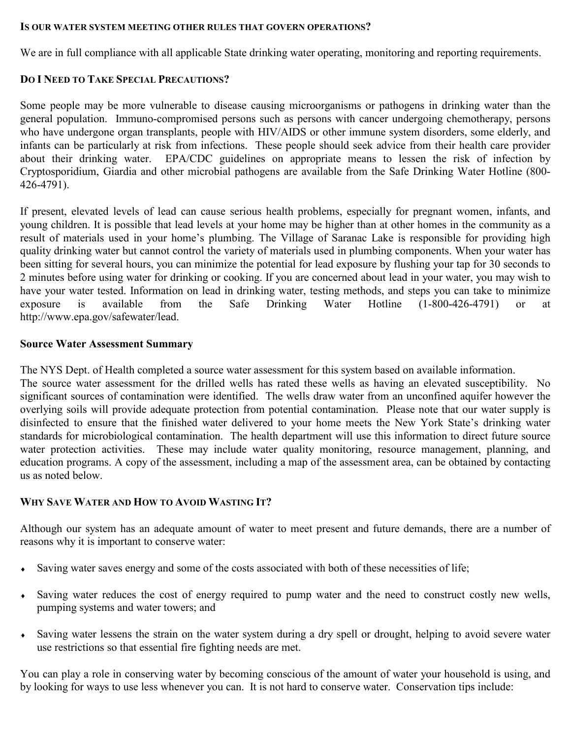### **IS OUR WATER SYSTEM MEETING OTHER RULES THAT GOVERN OPERATIONS?**

We are in full compliance with all applicable State drinking water operating, monitoring and reporting requirements.

# **DO I NEED TO TAKE SPECIAL PRECAUTIONS?**

Some people may be more vulnerable to disease causing microorganisms or pathogens in drinking water than the general population. Immuno-compromised persons such as persons with cancer undergoing chemotherapy, persons who have undergone organ transplants, people with HIV/AIDS or other immune system disorders, some elderly, and infants can be particularly at risk from infections. These people should seek advice from their health care provider about their drinking water. EPA/CDC guidelines on appropriate means to lessen the risk of infection by Cryptosporidium, Giardia and other microbial pathogens are available from the Safe Drinking Water Hotline (800- 426-4791).

If present, elevated levels of lead can cause serious health problems, especially for pregnant women, infants, and young children. It is possible that lead levels at your home may be higher than at other homes in the community as a result of materials used in your home's plumbing. The Village of Saranac Lake is responsible for providing high quality drinking water but cannot control the variety of materials used in plumbing components. When your water has been sitting for several hours, you can minimize the potential for lead exposure by flushing your tap for 30 seconds to 2 minutes before using water for drinking or cooking. If you are concerned about lead in your water, you may wish to have your water tested. Information on lead in drinking water, testing methods, and steps you can take to minimize exposure is available from the Safe Drinking Water Hotline (1-800-426-4791) or at exposure is available from the Safe Drinking Water Hotline (1-800-426-4791) or at http://www.epa.gov/safewater/lead.

# **Source Water Assessment Summary**

The NYS Dept. of Health completed a source water assessment for this system based on available information.

The source water assessment for the drilled wells has rated these wells as having an elevated susceptibility. No significant sources of contamination were identified. The wells draw water from an unconfined aquifer however the overlying soils will provide adequate protection from potential contamination. Please note that our water supply is disinfected to ensure that the finished water delivered to your home meets the New York State's drinking water standards for microbiological contamination. The health department will use this information to direct future source water protection activities. These may include water quality monitoring, resource management, planning, and education programs. A copy of the assessment, including a map of the assessment area, can be obtained by contacting us as noted below.

# **WHY SAVE WATER AND HOW TO AVOID WASTING IT?**

Although our system has an adequate amount of water to meet present and future demands, there are a number of reasons why it is important to conserve water:

- Saving water saves energy and some of the costs associated with both of these necessities of life;
- Saving water reduces the cost of energy required to pump water and the need to construct costly new wells, pumping systems and water towers; and
- ♦ Saving water lessens the strain on the water system during a dry spell or drought, helping to avoid severe water use restrictions so that essential fire fighting needs are met.

You can play a role in conserving water by becoming conscious of the amount of water your household is using, and by looking for ways to use less whenever you can. It is not hard to conserve water. Conservation tips include: